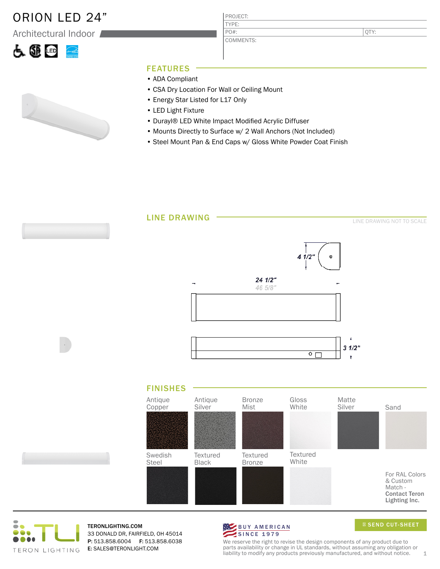## ORION LED 24"

Architectural Indoor



PROJECT: TYPE: COMMENTS: PO#:

QTY:

### FEATURES

- ADA Compliant
- CSA Dry Location For Wall or Ceiling Mount
- Energy Star Listed for L17 Only
- LED Light Fixture
- Durayl® LED White Impact Modified Acrylic Diffuser
- Mounts Directly to Surface w/ 2 Wall Anchors (Not Included)
- Steel Mount Pan & End Caps w/ Gloss White Powder Coat Finish





TERONLIGHTING.COM 33 DONALD DR, FAIRFIELD, OH 45014 P: 513.858.6004 F: 513.858.6038 E: SALES@TERONLIGHT.COM



SEND CUT-SHEET

We reserve the right to revise the design components of any product due to parts availability or change in UL standards, without assuming any obligation or liability to modify any products previously manufactured, and without notice.  $1$